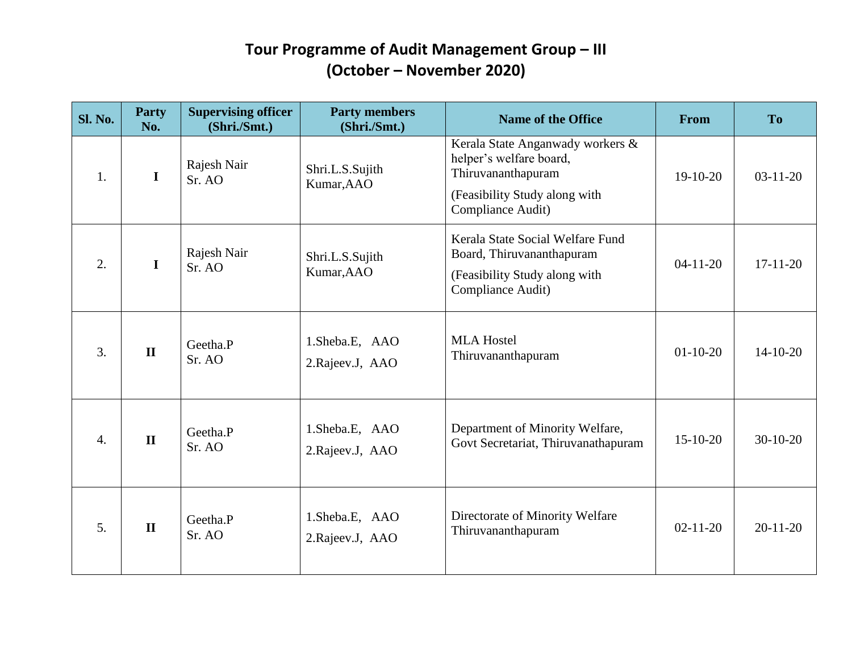| Sl. No.          | <b>Party</b><br>No. | <b>Supervising officer</b><br>(Shri./Smt.) | <b>Party members</b><br>(Shri./Smt.) | <b>Name of the Office</b>                                                                                                               | <b>From</b>    | <b>To</b>      |
|------------------|---------------------|--------------------------------------------|--------------------------------------|-----------------------------------------------------------------------------------------------------------------------------------------|----------------|----------------|
| 1.               | $\mathbf I$         | Rajesh Nair<br>Sr. AO                      | Shri.L.S.Sujith<br>Kumar, AAO        | Kerala State Anganwady workers &<br>helper's welfare board,<br>Thiruvananthapuram<br>(Feasibility Study along with<br>Compliance Audit) | $19-10-20$     | $03-11-20$     |
| $\overline{2}$ . | $\mathbf I$         | Rajesh Nair<br>Sr. AO                      | Shri.L.S.Sujith<br>Kumar, AAO        | Kerala State Social Welfare Fund<br>Board, Thiruvananthapuram<br>(Feasibility Study along with<br>Compliance Audit)                     | $04 - 11 - 20$ | $17-11-20$     |
| 3.               | $\mathbf{I}$        | Geetha.P<br>Sr. AO                         | 1.Sheba.E, AAO<br>2. Rajeev. J, AAO  | <b>MLA Hostel</b><br>Thiruvananthapuram                                                                                                 | $01 - 10 - 20$ | $14-10-20$     |
| $\overline{4}$ . | $\mathbf{I}$        | Geetha.P<br>Sr. AO                         | 1.Sheba.E, AAO<br>2.Rajeev.J, AAO    | Department of Minority Welfare,<br>Govt Secretariat, Thiruvanathapuram                                                                  | $15-10-20$     | $30-10-20$     |
| 5.               | $\mathbf{I}$        | Geetha.P<br>Sr. AO                         | 1.Sheba.E, AAO<br>2. Rajeev. J, AAO  | Directorate of Minority Welfare<br>Thiruvananthapuram                                                                                   | $02 - 11 - 20$ | $20 - 11 - 20$ |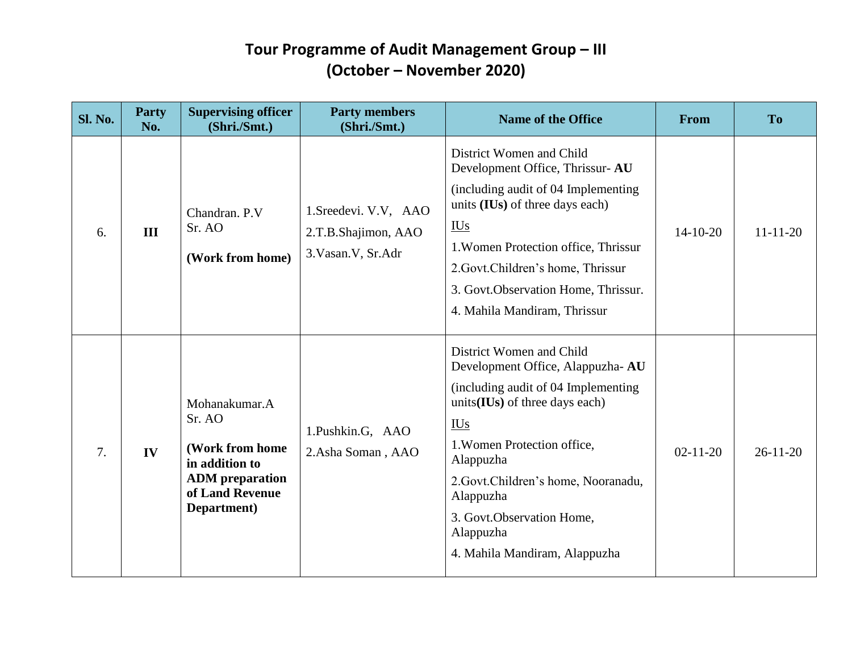| <b>Sl. No.</b> | <b>Party</b><br>No. | <b>Supervising officer</b><br>(Shri./Smt.)                                                                               | <b>Party members</b><br>(Shri./Smt.)                                 | <b>Name of the Office</b>                                                                                                                                                                                                                                                                                                        | From           | T <sub>o</sub> |
|----------------|---------------------|--------------------------------------------------------------------------------------------------------------------------|----------------------------------------------------------------------|----------------------------------------------------------------------------------------------------------------------------------------------------------------------------------------------------------------------------------------------------------------------------------------------------------------------------------|----------------|----------------|
| 6.             | III                 | Chandran, P.V.<br>Sr. AO<br>(Work from home)                                                                             | 1. Sreedevi. V.V, AAO<br>2.T.B.Shajimon, AAO<br>3. Vasan. V, Sr. Adr | District Women and Child<br>Development Office, Thrissur-AU<br>(including audit of 04 Implementing<br>units (IUs) of three days each)<br>$\underline{\text{IUs}}$<br>1. Women Protection office, Thrissur<br>2. Govt. Children's home, Thrissur<br>3. Govt. Observation Home, Thrissur.<br>4. Mahila Mandiram, Thrissur          | $14 - 10 - 20$ | $11 - 11 - 20$ |
| 7.             | IV                  | Mohanakumar.A<br>Sr. AO<br>(Work from home<br>in addition to<br><b>ADM</b> preparation<br>of Land Revenue<br>Department) | 1.Pushkin.G, AAO<br>2.Asha Soman, AAO                                | District Women and Child<br>Development Office, Alappuzha-AU<br>(including audit of 04 Implementing)<br>units(IUs) of three days each)<br><b>IUs</b><br>1. Women Protection office,<br>Alappuzha<br>2. Govt. Children's home, Nooranadu,<br>Alappuzha<br>3. Govt.Observation Home,<br>Alappuzha<br>4. Mahila Mandiram, Alappuzha | $02 - 11 - 20$ | $26 - 11 - 20$ |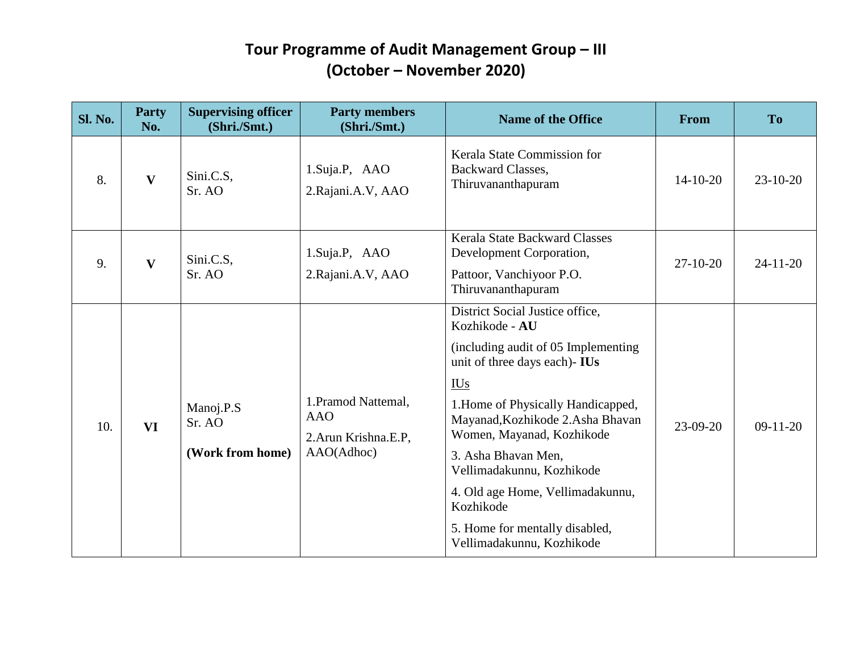| <b>Sl. No.</b> | Party<br>No. | <b>Supervising officer</b><br>(Shri./Smt.) | <b>Party members</b><br>(Shri./Smt.)                                     | <b>Name of the Office</b>                                                                                                                                                                                                                                                                                                                                                                                            | <b>From</b>    | <b>To</b>      |
|----------------|--------------|--------------------------------------------|--------------------------------------------------------------------------|----------------------------------------------------------------------------------------------------------------------------------------------------------------------------------------------------------------------------------------------------------------------------------------------------------------------------------------------------------------------------------------------------------------------|----------------|----------------|
| 8.             | $\mathbf{V}$ | Sini.C.S,<br>Sr. AO                        | 1. Suja. P, AAO<br>2. Rajani. A.V, AAO                                   | Kerala State Commission for<br>Backward Classes,<br>Thiruvananthapuram                                                                                                                                                                                                                                                                                                                                               | $14 - 10 - 20$ | $23-10-20$     |
| 9.             | V            | Sini.C.S,<br>Sr. AO                        | 1.Suja.P, AAO<br>2. Rajani. A.V, AAO                                     | <b>Kerala State Backward Classes</b><br>Development Corporation,<br>Pattoor, Vanchiyoor P.O.<br>Thiruvananthapuram                                                                                                                                                                                                                                                                                                   | $27-10-20$     | $24 - 11 - 20$ |
| 10.            | <b>VI</b>    | Manoj.P.S<br>Sr. AO<br>(Work from home)    | 1. Pramod Nattemal,<br><b>AAO</b><br>2. Arun Krishna. E.P.<br>AAO(Adhoc) | District Social Justice office,<br>Kozhikode - AU<br>(including audit of 05 Implementing)<br>unit of three days each)- IUs<br><b>IUs</b><br>1. Home of Physically Handicapped,<br>Mayanad, Kozhikode 2. Asha Bhavan<br>Women, Mayanad, Kozhikode<br>3. Asha Bhavan Men,<br>Vellimadakunnu, Kozhikode<br>4. Old age Home, Vellimadakunnu,<br>Kozhikode<br>5. Home for mentally disabled,<br>Vellimadakunnu, Kozhikode | $23-09-20$     | $09-11-20$     |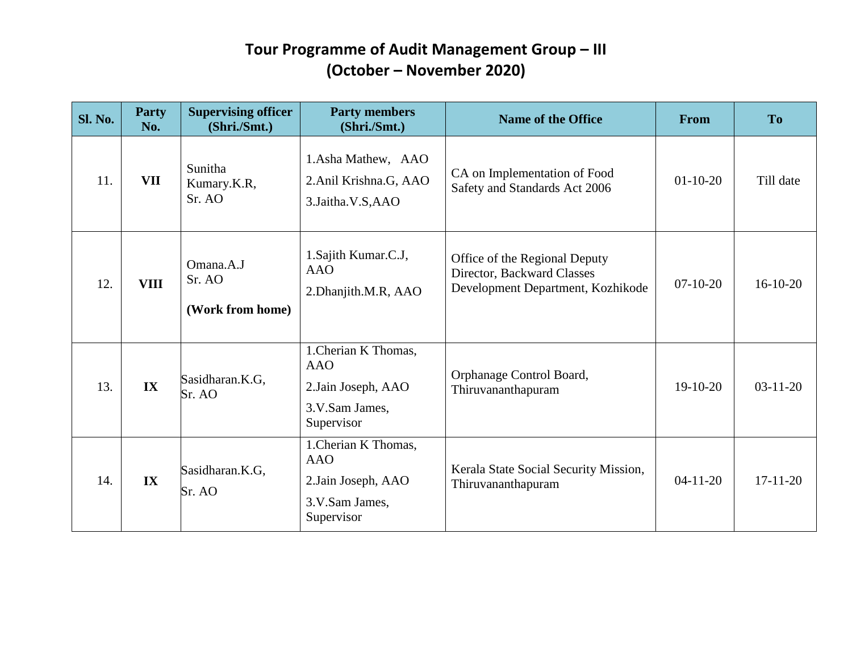| <b>Sl. No.</b> | <b>Party</b><br>No. | <b>Supervising officer</b><br>(Shri./Smt.) | <b>Party members</b><br>(Shri./Smt.)                                                      | <b>Name of the Office</b>                                                                        | <b>From</b>    | T <sub>o</sub> |
|----------------|---------------------|--------------------------------------------|-------------------------------------------------------------------------------------------|--------------------------------------------------------------------------------------------------|----------------|----------------|
| 11.            | <b>VII</b>          | Sunitha<br>Kumary.K.R,<br>Sr. AO           | 1. Asha Mathew, AAO<br>2.Anil Krishna.G, AAO<br>3.Jaitha.V.S,AAO                          | CA on Implementation of Food<br>Safety and Standards Act 2006                                    | $01-10-20$     | Till date      |
| 12.            | <b>VIII</b>         | Omana.A.J<br>Sr. AO<br>(Work from home)    | 1. Sajith Kumar.C.J,<br><b>AAO</b><br>2. Dhanjith.M.R, AAO                                | Office of the Regional Deputy<br>Director, Backward Classes<br>Development Department, Kozhikode | $07-10-20$     | $16-10-20$     |
| 13.            | IX                  | Sasidharan.K.G,<br>Sr. AO                  | 1. Cherian K Thomas,<br><b>AAO</b><br>2. Jain Joseph, AAO<br>3.V.Sam James,<br>Supervisor | Orphanage Control Board,<br>Thiruvananthapuram                                                   | $19-10-20$     | $03-11-20$     |
| 14.            | IX                  | Sasidharan.K.G,<br>Sr. AO                  | 1. Cherian K Thomas,<br><b>AAO</b><br>2. Jain Joseph, AAO<br>3.V.Sam James,<br>Supervisor | Kerala State Social Security Mission,<br>Thiruvananthapuram                                      | $04 - 11 - 20$ | $17-11-20$     |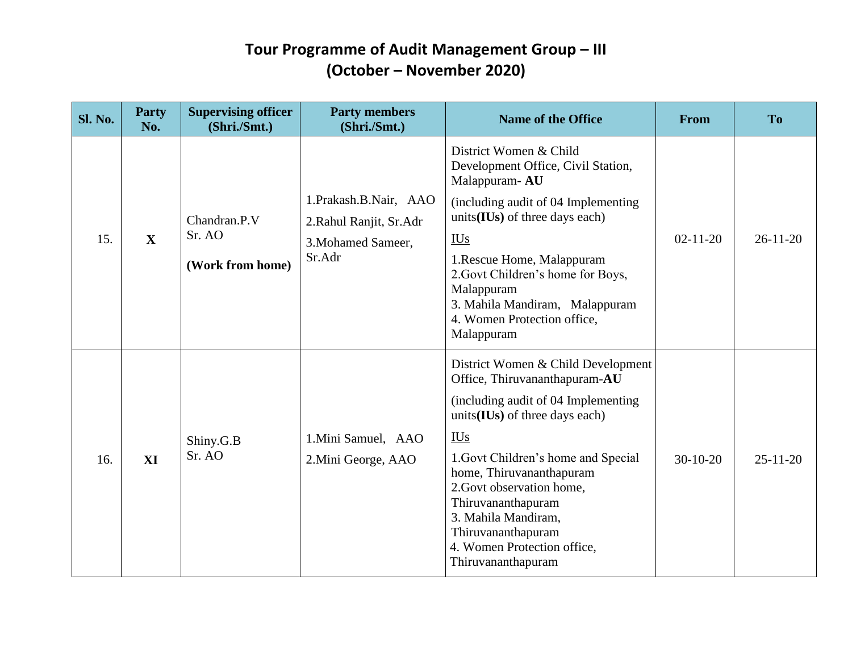| <b>Sl. No.</b> | <b>Party</b><br>No. | <b>Supervising officer</b><br>(Shri./Smt.) | <b>Party members</b><br>(Shri./Smt.)                                              | <b>Name of the Office</b>                                                                                                                                                                                                                                                                                                                                                              | <b>From</b>    | <b>To</b>      |
|----------------|---------------------|--------------------------------------------|-----------------------------------------------------------------------------------|----------------------------------------------------------------------------------------------------------------------------------------------------------------------------------------------------------------------------------------------------------------------------------------------------------------------------------------------------------------------------------------|----------------|----------------|
| 15.            | $\mathbf{X}$        | Chandran.P.V<br>Sr. AO<br>(Work from home) | 1.Prakash.B.Nair, AAO<br>2. Rahul Ranjit, Sr. Adr<br>3. Mohamed Sameer,<br>Sr.Adr | District Women & Child<br>Development Office, Civil Station,<br>Malappuram-AU<br>(including audit of 04 Implementing<br>units(IUs) of three days each)<br>$\underline{I}Us$<br>1. Rescue Home, Malappuram<br>2. Govt Children's home for Boys,<br>Malappuram<br>3. Mahila Mandiram, Malappuram<br>4. Women Protection office,<br>Malappuram                                            | $02 - 11 - 20$ | $26 - 11 - 20$ |
| 16.            | XI                  | Shiny.G.B<br>Sr. AO                        | 1. Mini Samuel, AAO<br>2. Mini George, AAO                                        | District Women & Child Development<br>Office, Thiruvananthapuram-AU<br>(including audit of 04 Implementing)<br>units $(IVs)$ of three days each)<br><b>IUs</b><br>1. Govt Children's home and Special<br>home, Thiruvananthapuram<br>2. Govt observation home,<br>Thiruvananthapuram<br>3. Mahila Mandiram,<br>Thiruvananthapuram<br>4. Women Protection office,<br>Thiruvananthapuram | $30-10-20$     | $25 - 11 - 20$ |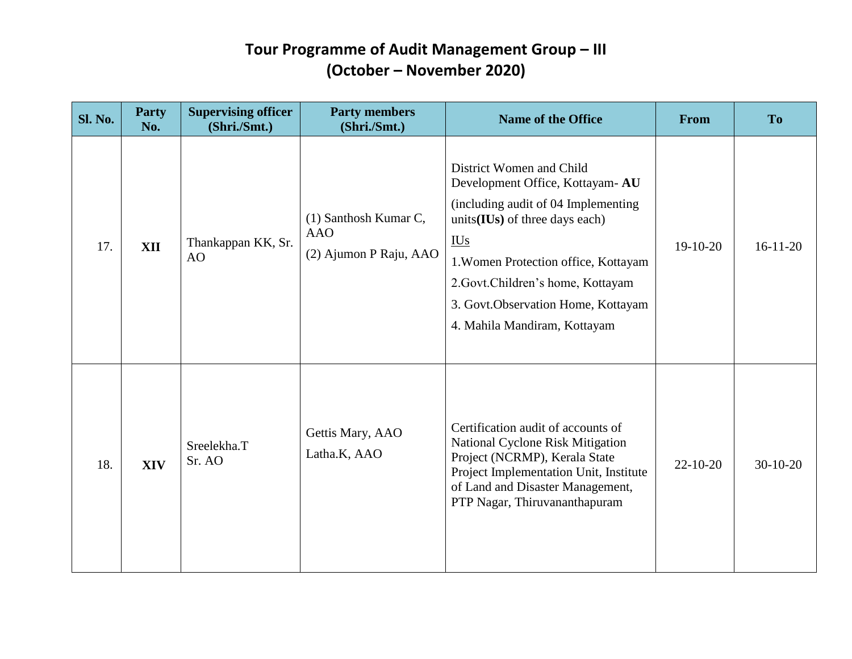| <b>Sl. No.</b> | Party<br>No. | <b>Supervising officer</b><br>(Shri./Smt.) | <b>Party members</b><br>(Shri./Smt.)                          | <b>Name of the Office</b>                                                                                                                                                                                                                                                                                                                                                | From           | <b>To</b>  |
|----------------|--------------|--------------------------------------------|---------------------------------------------------------------|--------------------------------------------------------------------------------------------------------------------------------------------------------------------------------------------------------------------------------------------------------------------------------------------------------------------------------------------------------------------------|----------------|------------|
| 17.            | <b>XII</b>   | Thankappan KK, Sr.<br>AO                   | (1) Santhosh Kumar C,<br><b>AAO</b><br>(2) Ajumon P Raju, AAO | District Women and Child<br>Development Office, Kottayam-AU<br>(including audit of 04 Implementing<br>units(IUs) of three days each)<br>$\underline{\underline{I}}\underline{\underline{U}}\underline{\underline{s}}$<br>1. Women Protection office, Kottayam<br>2.Govt.Children's home, Kottayam<br>3. Govt. Observation Home, Kottayam<br>4. Mahila Mandiram, Kottayam | $19-10-20$     | $16-11-20$ |
| 18.            | <b>XIV</b>   | Sreelekha.T<br>Sr. AO                      | Gettis Mary, AAO<br>Latha.K, AAO                              | Certification audit of accounts of<br>National Cyclone Risk Mitigation<br>Project (NCRMP), Kerala State<br>Project Implementation Unit, Institute<br>of Land and Disaster Management,<br>PTP Nagar, Thiruvananthapuram                                                                                                                                                   | $22 - 10 - 20$ | $30-10-20$ |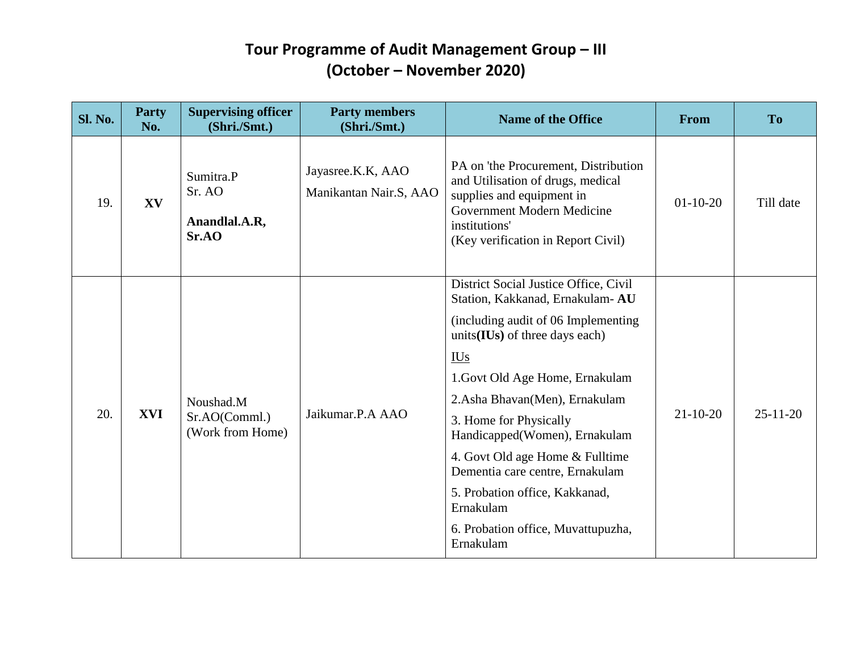| <b>Sl. No.</b> | <b>Party</b><br>No. | <b>Supervising officer</b><br>(Shri./Smt.)     | <b>Party members</b><br>(Shri./Smt.)        | <b>Name of the Office</b>                                                                                                                                                                                                                                                                                                                                                                                                                                               | From           | <b>To</b>      |
|----------------|---------------------|------------------------------------------------|---------------------------------------------|-------------------------------------------------------------------------------------------------------------------------------------------------------------------------------------------------------------------------------------------------------------------------------------------------------------------------------------------------------------------------------------------------------------------------------------------------------------------------|----------------|----------------|
| 19.            | XV                  | Sumitra.P<br>Sr. AO<br>Anandlal.A.R,<br>Sr.AO  | Jayasree.K.K, AAO<br>Manikantan Nair.S, AAO | PA on 'the Procurement, Distribution<br>and Utilisation of drugs, medical<br>supplies and equipment in<br>Government Modern Medicine<br>institutions'<br>(Key verification in Report Civil)                                                                                                                                                                                                                                                                             | $01-10-20$     | Till date      |
| 20.            | <b>XVI</b>          | Noushad.M<br>Sr.AO(Comml.)<br>(Work from Home) | Jaikumar.P.A AAO                            | District Social Justice Office, Civil<br>Station, Kakkanad, Ernakulam- AU<br>(including audit of 06 Implementing<br>units(IUs) of three days each)<br><b>IUs</b><br>1. Govt Old Age Home, Ernakulam<br>2.Asha Bhavan(Men), Ernakulam<br>3. Home for Physically<br>Handicapped(Women), Ernakulam<br>4. Govt Old age Home & Fulltime<br>Dementia care centre, Ernakulam<br>5. Probation office, Kakkanad,<br>Ernakulam<br>6. Probation office, Muvattupuzha,<br>Ernakulam | $21 - 10 - 20$ | $25 - 11 - 20$ |